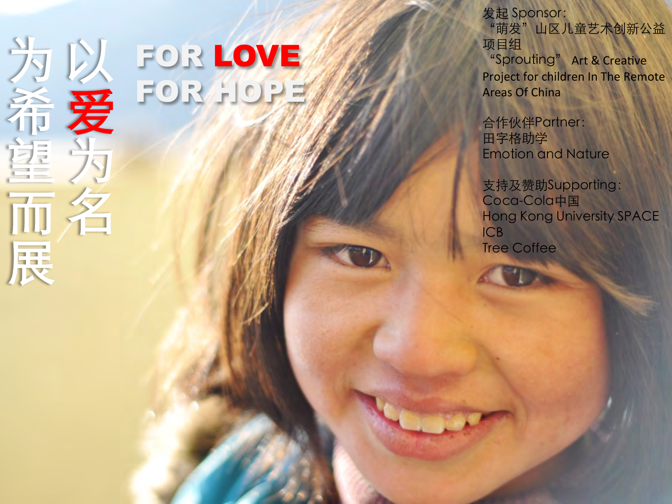

# FOR LOVE FOR HOPE

发起 Sponsor:

"萌发 "山区儿童艺术创新公益 项目组 "Sprouting" Art & Creative Project for children In The Remote **Areas Of China** 

合作伙伴Partner : 田字格助学 Emotion and Nature 

支持及赞助Supporting: Coca-Cola中国 Hong Kong University SPACE ICB Tree Coffee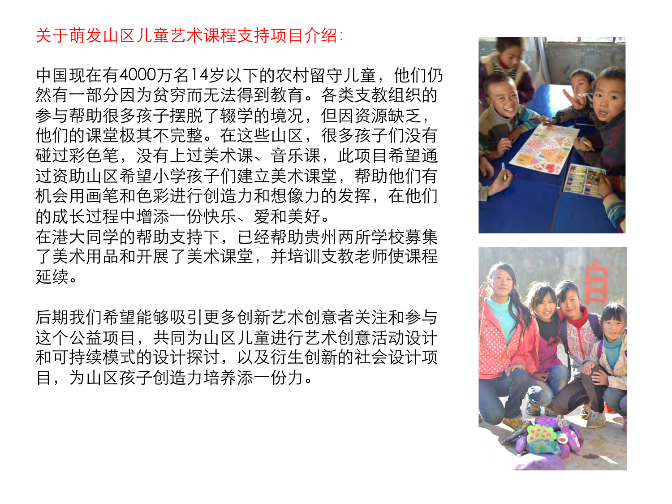# 关于萌发山区儿童艺术课程支持项目介绍:

中国现在有4000万名14岁以下的农村留守儿童, 他们仍 然有一部分因为贫穷而无法得到教育。各类支教组织的 参与帮助很多孩子摆脱了辍学的境况,但因资源缺乏, 他们的课堂极其不完整。在这些山区,很多孩子们没有 碰过彩色笔,没有上过美术课、音乐课,此项目希望通 过资助山区希望小学孩子们建立美术课堂,帮助他们有 机会用画笔和色彩进行创造力和想像力的发挥,在他们 的成长过程中增添一份快乐、爱和美好。

在港大同学的帮助支持下,已经帮助贵州两所学校募集 了美术用品和开展了美术课堂,并培训支教老师使课程 延续。

后期我们希望能够吸引更多创新艺术创意者关注和参与 这个公益项目,共同为山区儿童进行艺术创意活动设计 和可持续模式的设计探讨,以及衍生创新的社会设计项 目,为山区孩子创造力培养添一份力。



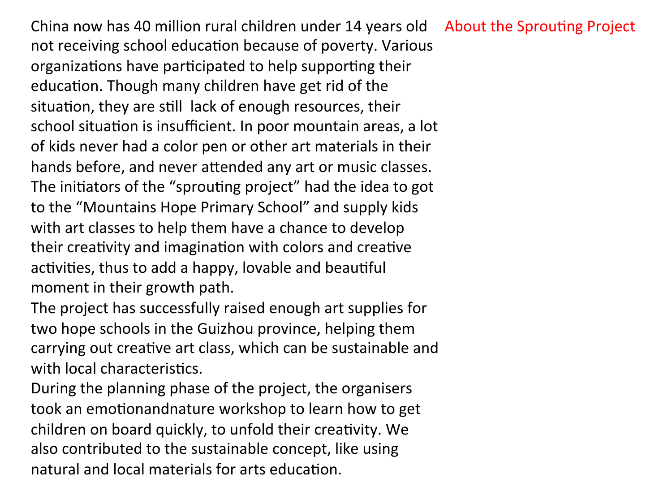China now has 40 million rural children under 14 years old About the Sprouting Project not receiving school education because of poverty. Various organizations have participated to help supporting their education. Though many children have get rid of the situation, they are still lack of enough resources, their school situation is insufficient. In poor mountain areas, a lot of kids never had a color pen or other art materials in their hands before, and never attended any art or music classes. The initiators of the "sprouting project" had the idea to got to the "Mountains Hope Primary School" and supply kids with art classes to help them have a chance to develop their creativity and imagination with colors and creative activities, thus to add a happy, lovable and beautiful moment in their growth path.

The project has successfully raised enough art supplies for two hope schools in the Guizhou province, helping them carrying out creative art class, which can be sustainable and with local characteristics.

During the planning phase of the project, the organisers took an emotionandnature workshop to learn how to get children on board quickly, to unfold their creativity. We also contributed to the sustainable concept, like using natural and local materials for arts education.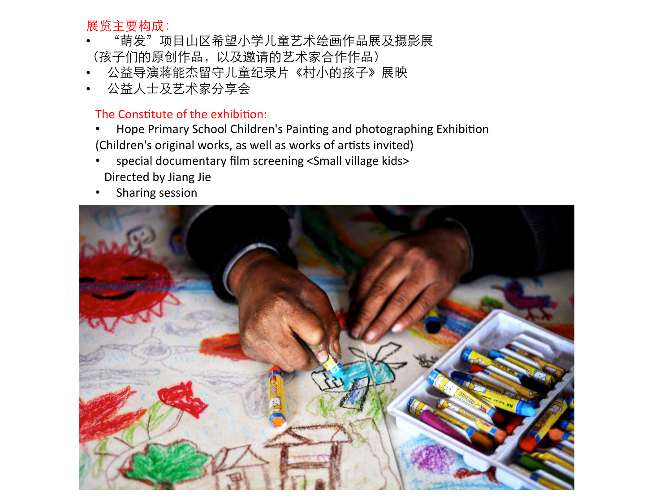## 展览主要构成:

- "萌发"项目山区希望小学儿童艺术绘画作品展及摄影展 (孩子们的原创作品,以及邀请的艺术家合作作品)
- 公益导演蒋能杰留守儿童纪录片《村小的孩子》展映
- 公益人士及艺术家分享会

### The Constitute of the exhibition:

- Hope Primary School Children's Painting and photographing Exhibition (Children's original works, as well as works of artists invited)
- special documentary film screening <Small village kids> Directed by Jiang Jie
- Sharing session

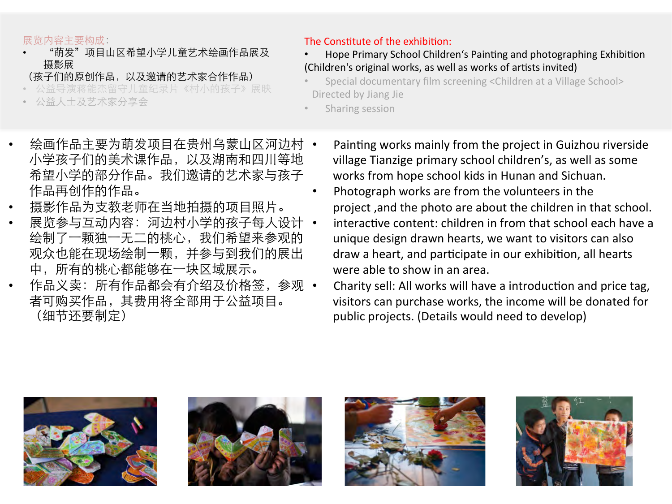#### 展览内容主要构成:

- "萌发"项目山区希望小学儿童艺术绘画作品展及 摄影展
- (孩子们的原创作品,以及邀请的艺术家合作作品)
- 益导演蒋能杰留守儿童纪录片《村小的孩子》展映
- 公益人士及艺术家分享会

#### The Constitute of the exhibition:

- Hope Primary School Children's Painting and photographing Exhibition (Children's original works, as well as works of artists invited)
- Special documentary film screening <Children at a Village School> Directed by Jiang Jie
- Sharing session
- 绘画作品主要为萌发项目在贵州乌蒙山区河边村 小学孩子们的美术课作品,以及湖南和四川等地 希望小学的部分作品。我们邀请的艺术家与孩子 作品再创作的作品。
- 摄影作品为支教老师在当地拍摄的项目照片。
- 展览参与互动内容: 河边村小学的孩子每人设计 绘制了一颗独一无二的桃心,我们希望来参观的 观众也能在现场绘制一颗,并参与到我们的展出 中,所有的桃心都能够在一块区域展示。
- 作品义卖: 所有作品都会有介绍及价格签, 参观 者可购买作品,其费用将全部用于公益项目。 (细节还要制定)
- Painting works mainly from the project in Guizhou riverside village Tianzige primary school children's, as well as some works from hope school kids in Hunan and Sichuan.
- Photograph works are from the volunteers in the project, and the photo are about the children in that school.
- interactive content: children in from that school each have a unique design drawn hearts, we want to visitors can also draw a heart, and participate in our exhibition, all hearts were able to show in an area.
- Charity sell: All works will have a introduction and price tag, visitors can purchase works, the income will be donated for public projects. (Details would need to develop)







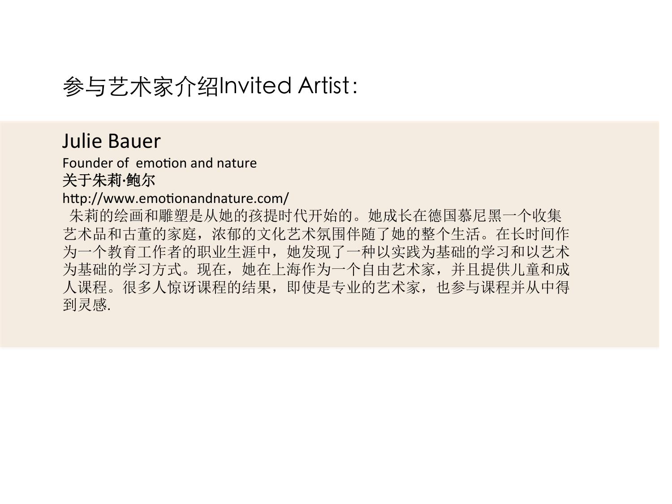# 参与艺术家介绍Invited Artist:

# **Julie Bauer**

Founder of emotion and nature 关于朱莉**·**鲍尔

## http://www.emotionandnature.com/

 朱莉的绘画和雕塑是从她的孩提时代开始的。她成长在德国慕尼黑一个收集 艺术品和古董的家庭,浓郁的文化艺术氛围伴随了她的整个生活。在长时间作 为一个教育工作者的职业生涯中,她发现了一种以实践为基础的学习和以艺术 为基础的学习方式。现在,她在上海作为一个自由艺术家,并且提供儿童和成 人课程。很多人惊讶课程的结果,即使是专业的艺术家,也参与课程并从中得 到灵感.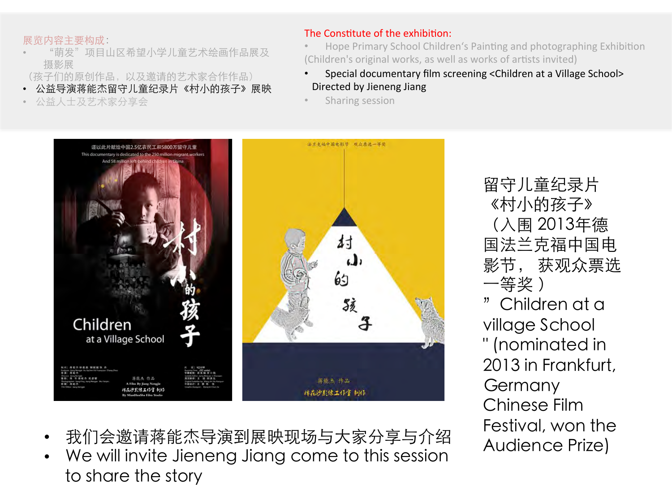#### 展览内容主要构成:

- "萌发"项目山区希望小学儿童艺术绘画作品展及 摄影展
- (孩子们的原创作品,以及邀请的艺术家合作作品)
- 公益导演蒋能杰留守儿童纪录片《村小的孩子》展映
- 公益人士及艺术家分享会

#### The Constitute of the exhibition:

- Hope Primary School Children's Painting and photographing Exhibition (Children's original works, as well as works of artists invited)
- Special documentary film screening <Children at a Village School> Directed by Jieneng Jiang
- Sharing session



留守儿童纪录片 《村小的孩子》 (入围 2013年德 国法兰克福中国电 影节, 获观众票选 一等奖 ) "Children at a village School " (nominated in 2013 in Frankfurt, Germany Chinese Film Festival, won the Audience Prize)

- 我们会邀请蒋能杰导演到展映现场与大家分享与介绍
- We will invite Jieneng Jiang come to this session to share the story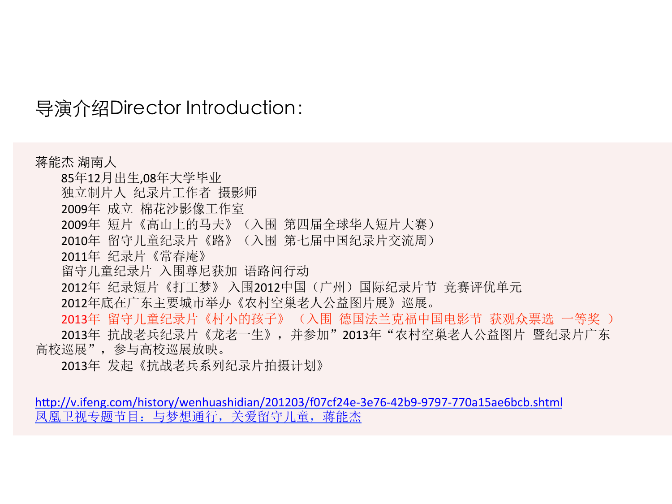导演介绍Director Introduction:

蒋能杰 湖南人 85年12月出生,08年大学毕业 独立制片人 纪录片工作者 摄影师 2009年 成立 棉花沙影像工作室 2009年 短片《高山上的马夫》(入围 第四届全球华人短片大赛) 2010年 留守儿童纪录片《路》(入围 第七届中国纪录片交流周) 2011年 纪录片《常春庵》 留守儿童纪录片 入围尊尼获加 语路问行动 2012年 纪录短片《打工梦》 入围2012中国(广州)国际纪录片节 竞赛评优单元 2012年底在广东主要城市举办《农村空巢老人公益图片展》巡展。 2013年 留守儿童纪录片《村小的孩子》 (入围 德国法兰克福中国电影节 获观众票选 一等奖 ) 2013年 抗战老兵纪录片《龙老一生》,并参加"2013年"农村空巢老人公益图片 暨纪录片广东 高校巡展",参与高校巡展放映。

2013年 发起《抗战老兵系列纪录片拍摄计划》

http://v.ifeng.com/history/wenhuashidian/201203/f07cf24e-3e76-42b9-9797-770a15ae6bcb.shtml 凤凰卫视专题节目:与梦想通行,关爱留守儿童,蒋能杰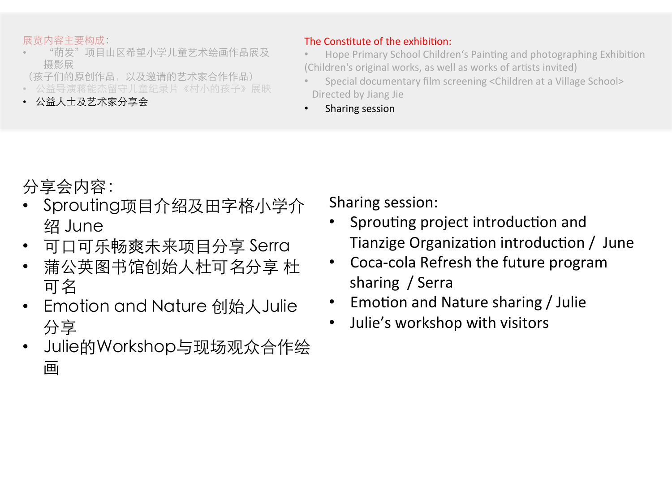#### 展览内容主要构成:

- "萌发"项目山区希望小学儿童艺术绘画作品展及 摄影展
- (孩子们的原创作品,以及邀请的艺术家合作作品)
- 导演蒋能杰留守儿童纪录片《村小的孩子》展映
- 公益人士及艺术家分享会

#### The Constitute of the exhibition:

- Hope Primary School Children's Painting and photographing Exhibition (Children's original works, as well as works of artists invited)
- Special documentary film screening <Children at a Village School> Directed by Jiang Jie
- Sharing session

# 分享会内容:

- Sprouting项⺫介绍及⽥字格⼩学介 绍 June
- 可口可乐畅爽未来项目分享 Serra
- 蒲公英图书馆创始人杜可名分享 杜 可名
- Emotion and Nature 创始人Julie 分享
- Julie的Workshop与现场观众合作绘 画

Sharing session:

- Sprouting project introduction and Tianzige Organization introduction / June
- Coca-cola Refresh the future program sharing / Serra
- Emotion and Nature sharing / Julie
- Julie's workshop with visitors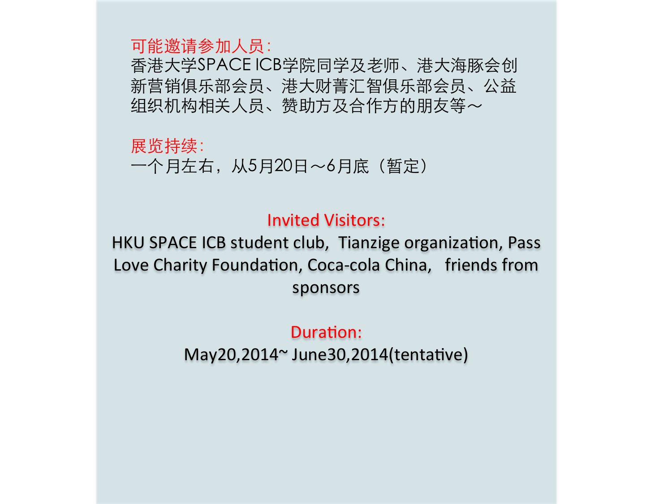可能邀请参加⼈员:

⾹港⼤学SPACE ICB学院同学及⽼师、港⼤海豚会创 新营销俱乐部会员、港⼤财菁汇智俱乐部会员、公益 组织机构相关人员、赞助方及合作方的朋友等〜

展览持续: 一个月左右, 从5月20日~6月底 (暂定)

## Invited Visitors:

HKU SPACE ICB student club, Tianzige organization, Pass Love Charity Foundation, Coca-cola China, friends from sponsors 

## Duration:

 $May20,2014^{\sim}$  June30,2014(tentative)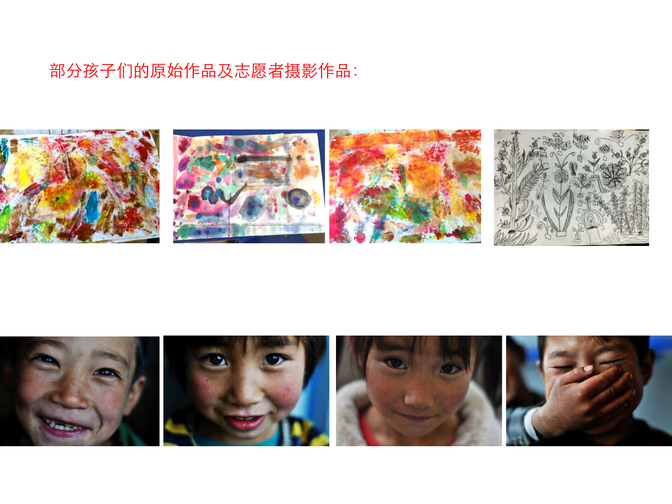# 部分孩子们的原始作品及志愿者摄影作品: